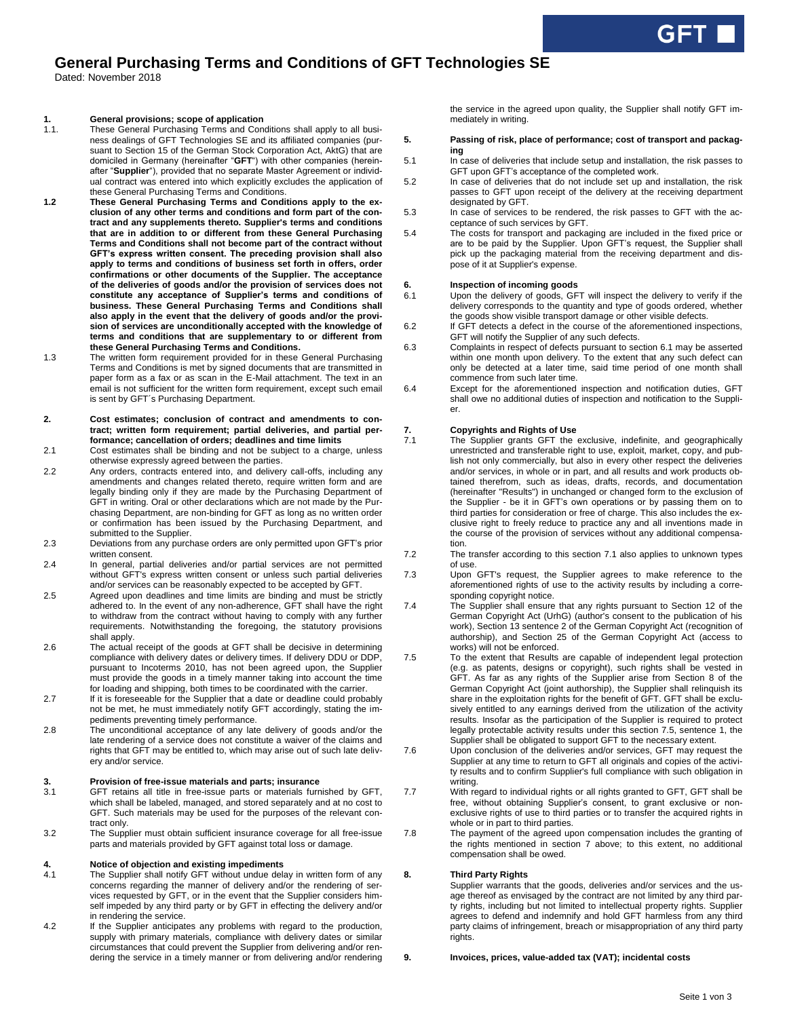# **General Purchasing Terms and Conditions of GFT Technologies SE**

Dated: November 2018

## **1. General provisions; scope of application**

- 1.1. These General Purchasing Terms and Conditions shall apply to all business dealings of GFT Technologies SE and its affiliated companies (pursuant to Section 15 of the German Stock Corporation Act, AktG) that are domiciled in Germany (hereinafter "**GFT**") with other companies (hereinafter "**Supplier**"), provided that no separate Master Agreement or individual contract was entered into which explicitly excludes the application of these General Purchasing Terms and Conditions.
- **1.2 These General Purchasing Terms and Conditions apply to the exclusion of any other terms and conditions and form part of the contract and any supplements thereto. Supplier's terms and conditions that are in addition to or different from these General Purchasing Terms and Conditions shall not become part of the contract without GFT's express written consent. The preceding provision shall also apply to terms and conditions of business set forth in offers, order confirmations or other documents of the Supplier. The acceptance of the deliveries of goods and/or the provision of services does not constitute any acceptance of Supplier's terms and conditions of business. These General Purchasing Terms and Conditions shall also apply in the event that the delivery of goods and/or the provision of services are unconditionally accepted with the knowledge of terms and conditions that are supplementary to or different from these General Purchasing Terms and Conditions.**
- 1.3 The written form requirement provided for in these General Purchasing Terms and Conditions is met by signed documents that are transmitted in paper form as a fax or as scan in the E-Mail attachment. The text in an email is not sufficient for the written form requirement, except such email is sent by GFT´s Purchasing Department.
- **2. Cost estimates; conclusion of contract and amendments to contract; written form requirement; partial deliveries, and partial performance; cancellation of orders; deadlines and time limits**
- 2.1 Cost estimates shall be binding and not be subject to a charge, unless otherwise expressly agreed between the parties.
- 2.2 Any orders, contracts entered into, and delivery call-offs, including any amendments and changes related thereto, require written form and are legally binding only if they are made by the Purchasing Department of GFT in writing. Oral or other declarations which are not made by the Purchasing Department, are non-binding for GFT as long as no written order or confirmation has been issued by the Purchasing Department, and submitted to the Supplier.
- 2.3 Deviations from any purchase orders are only permitted upon GFT's prior written consent.
- 2.4 In general, partial deliveries and/or partial services are not permitted without GFT's express written consent or unless such partial deliveries and/or services can be reasonably expected to be accepted by GFT.
- 2.5 Agreed upon deadlines and time limits are binding and must be strictly adhered to. In the event of any non-adherence, GFT shall have the right to withdraw from the contract without having to comply with any further requirements. Notwithstanding the foregoing, the statutory provisions shall apply.
- 2.6 The actual receipt of the goods at GFT shall be decisive in determining compliance with delivery dates or delivery times. If delivery DDU or DDP, pursuant to Incoterms 2010, has not been agreed upon, the Supplier must provide the goods in a timely manner taking into account the time for loading and shipping, both times to be coordinated with the carrier.
- 2.7 If it is foreseeable for the Supplier that a date or deadline could probably not be met, he must immediately notify GFT accordingly, stating the impediments preventing timely performance.
- 2.8 The unconditional acceptance of any late delivery of goods and/or the late rendering of a service does not constitute a waiver of the claims and rights that GFT may be entitled to, which may arise out of such late delivery and/or service.

## **3. Provision of free-issue materials and parts; insurance**

- 3.1 GFT retains all title in free-issue parts or materials furnished by GFT, which shall be labeled, managed, and stored separately and at no cost to GFT. Such materials may be used for the purposes of the relevant contract only.
- 3.2 The Supplier must obtain sufficient insurance coverage for all free-issue parts and materials provided by GFT against total loss or damage.

## **4. Notice of objection and existing impediments**

- 4.1 The Supplier shall notify GFT without undue delay in written form of any concerns regarding the manner of delivery and/or the rendering of services requested by GFT, or in the event that the Supplier considers himself impeded by any third party or by GFT in effecting the delivery and/or in rendering the service.
- 4.2 If the Supplier anticipates any problems with regard to the production, supply with primary materials, compliance with delivery dates or similar circumstances that could prevent the Supplier from delivering and/or rendering the service in a timely manner or from delivering and/or rendering

the service in the agreed upon quality, the Supplier shall notify GFT immediately in writing.

### **5. Passing of risk, place of performance; cost of transport and packaging**

- 5.1 In case of deliveries that include setup and installation, the risk passes to GFT upon GFT's acceptance of the completed work.
- 5.2 In case of deliveries that do not include set up and installation, the risk passes to GFT upon receipt of the delivery at the receiving department designated by GFT.
- 5.3 In case of services to be rendered, the risk passes to GFT with the acceptance of such services by GFT.
- 5.4 The costs for transport and packaging are included in the fixed price or are to be paid by the Supplier. Upon GFT's request, the Supplier shall pick up the packaging material from the receiving department and dispose of it at Supplier's expense.

# **6. Inspection of incoming goods**<br>**6.1** Upon the delivery of goods, GF

- Upon the delivery of goods, GFT will inspect the delivery to verify if the delivery corresponds to the quantity and type of goods ordered, whether the goods show visible transport damage or other visible defects.
- 6.2 If GFT detects a defect in the course of the aforementioned inspections, GFT will notify the Supplier of any such defects.
- 6.3 Complaints in respect of defects pursuant to section 6.1 may be asserted within one month upon delivery. To the extent that any such defect can only be detected at a later time, said time period of one month shall commence from such later time.
- 6.4 Except for the aforementioned inspection and notification duties, GFT shall owe no additional duties of inspection and notification to the Supplier.

### **7. Copyrights and Rights of Use**

- 7.1 The Supplier grants GFT the exclusive, indefinite, and geographically unrestricted and transferable right to use, exploit, market, copy, and publish not only commercially, but also in every other respect the deliveries and/or services, in whole or in part, and all results and work products obtained therefrom, such as ideas, drafts, records, and documentation (hereinafter "Results") in unchanged or changed form to the exclusion of the Supplier - be it in GFT's own operations or by passing them on to third parties for consideration or free of charge. This also includes the exclusive right to freely reduce to practice any and all inventions made in the course of the provision of services without any additional compensation.
- 7.2 The transfer according to this section 7.1 also applies to unknown types of use.
- 7.3 Upon GFT's request, the Supplier agrees to make reference to the aforementioned rights of use to the activity results by including a corresponding copyright notice.
- 7.4 The Supplier shall ensure that any rights pursuant to Section 12 of the German Copyright Act (UrhG) (author's consent to the publication of his work), Section 13 sentence 2 of the German Copyright Act (recognition of authorship), and Section 25 of the German Copyright Act (access to works) will not be enforced.
- 7.5 To the extent that Results are capable of independent legal protection (e.g. as patents, designs or copyright), such rights shall be vested in GFT. As far as any rights of the Supplier arise from Section 8 of the German Copyright Act (joint authorship), the Supplier shall relinquish its share in the exploitation rights for the benefit of GFT. GFT shall be exclusively entitled to any earnings derived from the utilization of the activity results. Insofar as the participation of the Supplier is required to protect legally protectable activity results under this section 7.5, sentence 1, the Supplier shall be obligated to support GFT to the necessary extent.
- 7.6 Upon conclusion of the deliveries and/or services, GFT may request the Supplier at any time to return to GFT all originals and copies of the activity results and to confirm Supplier's full compliance with such obligation in writing.
- 7.7 With regard to individual rights or all rights granted to GFT, GFT shall be free, without obtaining Supplier's consent, to grant exclusive or nonexclusive rights of use to third parties or to transfer the acquired rights in whole or in part to third parties.
- 7.8 The payment of the agreed upon compensation includes the granting of the rights mentioned in section 7 above; to this extent, no additional compensation shall be owed.

## **8. Third Party Rights**

Supplier warrants that the goods, deliveries and/or services and the usage thereof as envisaged by the contract are not limited by any third party rights, including but not limited to intellectual property rights. Supplier agrees to defend and indemnify and hold GFT harmless from any third party claims of infringement, breach or misappropriation of any third party rights.

### **9. Invoices, prices, value-added tax (VAT); incidental costs**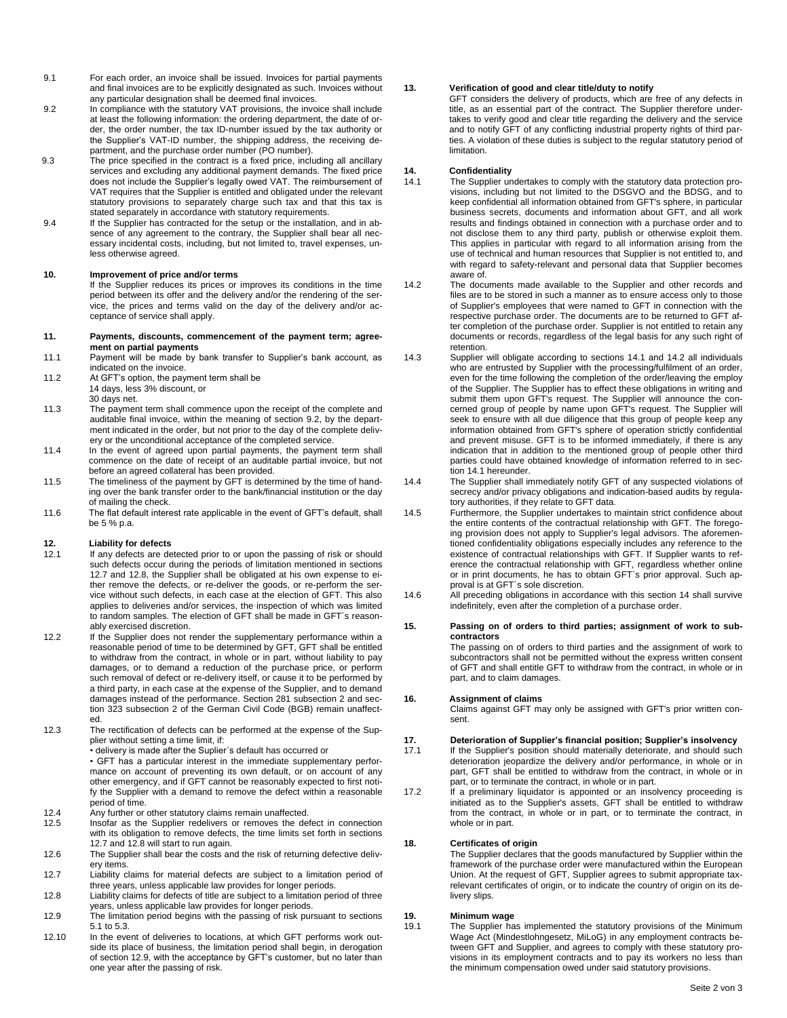- 9.1 For each order, an invoice shall be issued. Invoices for partial payments and final invoices are to be explicitly designated as such. Invoices without any particular designation shall be deemed final invoices.
- 9.2 In compliance with the statutory VAT provisions, the invoice shall include at least the following information: the ordering department, the date of order, the order number, the tax ID-number issued by the tax authority or the Supplier's VAT-ID number, the shipping address, the receiving department, and the purchase order number (PO number).
- 9.3 The price specified in the contract is a fixed price, including all ancillary services and excluding any additional payment demands. The fixed price does not include the Supplier's legally owed VAT. The reimbursement of VAT requires that the Supplier is entitled and obligated under the relevant statutory provisions to separately charge such tax and that this tax is stated separately in accordance with statutory requirements.
	- 9.4 If the Supplier has contracted for the setup or the installation, and in absence of any agreement to the contrary, the Supplier shall bear all necessary incidental costs, including, but not limited to, travel expenses, unless otherwise agreed.

## **10. Improvement of price and/or terms**

If the Supplier reduces its prices or improves its conditions in the time period between its offer and the delivery and/or the rendering of the service, the prices and terms valid on the day of the delivery and/or acceptance of service shall apply.

### **11. Payments, discounts, commencement of the payment term; agreement on partial payments**

- 11.1 Payment will be made by bank transfer to Supplier's bank account, as indicated on the invoice.
- 11.2 At GFT's option, the payment term shall be 14 days, less 3% discount, or
- 30 days net.
- 11.3 The payment term shall commence upon the receipt of the complete and auditable final invoice, within the meaning of section 9.2, by the department indicated in the order, but not prior to the day of the complete delivery or the unconditional acceptance of the completed service.
- 11.4 In the event of agreed upon partial payments, the payment term shall commence on the date of receipt of an auditable partial invoice, but not before an agreed collateral has been provided.
- 11.5 The timeliness of the payment by GFT is determined by the time of handing over the bank transfer order to the bank/financial institution or the day of mailing the check.
- 11.6 The flat default interest rate applicable in the event of GFT's default, shall be 5 % p.a.

# **12.** Liability for defects<br>12.1 If any defects are de

- If any defects are detected prior to or upon the passing of risk or should such defects occur during the periods of limitation mentioned in sections 12.7 and 12.8, the Supplier shall be obligated at his own expense to either remove the defects, or re-deliver the goods, or re-perform the service without such defects, in each case at the election of GFT. This also applies to deliveries and/or services, the inspection of which was limited to random samples. The election of GFT shall be made in GFT´s reasonably exercised discretion.
- 12.2 If the Supplier does not render the supplementary performance within a reasonable period of time to be determined by GFT, GFT shall be entitled to withdraw from the contract, in whole or in part, without liability to pay damages, or to demand a reduction of the purchase price, or perform such removal of defect or re-delivery itself, or cause it to be performed by a third party, in each case at the expense of the Supplier, and to demand damages instead of the performance. Section 281 subsection 2 and section 323 subsection 2 of the German Civil Code (BGB) remain unaffected.
- 12.3 The rectification of defects can be performed at the expense of the Supplier without setting a time limit, if:
	- delivery is made after the Suplier´s default has occurred or
	- GFT has a particular interest in the immediate supplementary performance on account of preventing its own default, or on account of any other emergency, and if GFT cannot be reasonably expected to first notify the Supplier with a demand to remove the defect within a reasonable period of time.
- 12.4 Any further or other statutory claims remain unaffected.
- 12.5 Insofar as the Supplier redelivers or removes the defect in connection with its obligation to remove defects, the time limits set forth in sections 12.7 and 12.8 will start to run again.
- 12.6 The Supplier shall bear the costs and the risk of returning defective delivery items.
- 12.7 Liability claims for material defects are subject to a limitation period of three years, unless applicable law provides for longer periods.
- 12.8 Liability claims for defects of title are subject to a limitation period of three years, unless applicable law provides for longer periods.
- 12.9 The limitation period begins with the passing of risk pursuant to sections 5.1 to 5.3.
- 12.10 In the event of deliveries to locations, at which GFT performs work outside its place of business, the limitation period shall begin, in derogation of section 12.9, with the acceptance by GFT's customer, but no later than one year after the passing of risk.

## **13. Verification of good and clear title/duty to notify**

GFT considers the delivery of products, which are free of any defects in title, as an essential part of the contract. The Supplier therefore undertakes to verify good and clear title regarding the delivery and the service and to notify GFT of any conflicting industrial property rights of third parties. A violation of these duties is subject to the regular statutory period of limitation.

## **14. Confidentiality**

- 14.1 The Supplier undertakes to comply with the statutory data protection provisions, including but not limited to the DSGVO and the BDSG, and to keep confidential all information obtained from GFT's sphere, in particular business secrets, documents and information about GFT, and all work results and findings obtained in connection with a purchase order and to not disclose them to any third party, publish or otherwise exploit them. This applies in particular with regard to all information arising from the use of technical and human resources that Supplier is not entitled to, and with regard to safety-relevant and personal data that Supplier becomes aware of.
- 14.2 The documents made available to the Supplier and other records and files are to be stored in such a manner as to ensure access only to those of Supplier's employees that were named to GFT in connection with the respective purchase order. The documents are to be returned to GFT after completion of the purchase order. Supplier is not entitled to retain any documents or records, regardless of the legal basis for any such right of retention.
- 14.3 Supplier will obligate according to sections 14.1 and 14.2 all individuals who are entrusted by Supplier with the processing/fulfilment of an order, even for the time following the completion of the order/leaving the employ of the Supplier. The Supplier has to effect these obligations in writing and submit them upon GFT's request. The Supplier will announce the concerned group of people by name upon GFT's request. The Supplier will seek to ensure with all due diligence that this group of people keep any information obtained from GFT's sphere of operation strictly confidential and prevent misuse. GFT is to be informed immediately, if there is any indication that in addition to the mentioned group of people other third parties could have obtained knowledge of information referred to in section 14.1 hereunder.
- 14.4 The Supplier shall immediately notify GFT of any suspected violations of secrecy and/or privacy obligations and indication-based audits by regulatory authorities, if they relate to GFT data.
- 14.5 Furthermore, the Supplier undertakes to maintain strict confidence about the entire contents of the contractual relationship with GFT. The foregoing provision does not apply to Supplier's legal advisors. The aforementioned confidentiality obligations especially includes any reference to the existence of contractual relationships with GFT. If Supplier wants to reference the contractual relationship with GFT, regardless whether online or in print documents, he has to obtain GFT´s prior approval. Such approval is at GFT´s sole discretion.
- 14.6 All preceding obligations in accordance with this section 14 shall survive indefinitely, even after the completion of a purchase order.

### **15. Passing on of orders to third parties; assignment of work to subcontractors**

The passing on of orders to third parties and the assignment of work to subcontractors shall not be permitted without the express written consent of GFT and shall entitle GFT to withdraw from the contract, in whole or in part, and to claim damages.

## **16. Assignment of claims**

Claims against GFT may only be assigned with GFT's prior written consent.

## **17. Deterioration of Supplier's financial position; Supplier's insolvency**

- 17.1 If the Supplier's position should materially deteriorate, and should such deterioration jeopardize the delivery and/or performance, in whole or in part, GFT shall be entitled to withdraw from the contract, in whole or in part, or to terminate the contract, in whole or in part.
- 17.2 If a preliminary liquidator is appointed or an insolvency proceeding is initiated as to the Supplier's assets, GFT shall be entitled to withdraw from the contract, in whole or in part, or to terminate the contract, in whole or in part.

## **18. Certificates of origin**

The Supplier declares that the goods manufactured by Supplier within the framework of the purchase order were manufactured within the European Union. At the request of GFT, Supplier agrees to submit appropriate taxrelevant certificates of origin, or to indicate the country of origin on its delivery slips.

# **19. Minimum wage**

The Supplier has implemented the statutory provisions of the Minimum Wage Act (Mindestlohngesetz, MiLoG) in any employment contracts between GFT and Supplier, and agrees to comply with these statutory provisions in its employment contracts and to pay its workers no less than the minimum compensation owed under said statutory provisions.